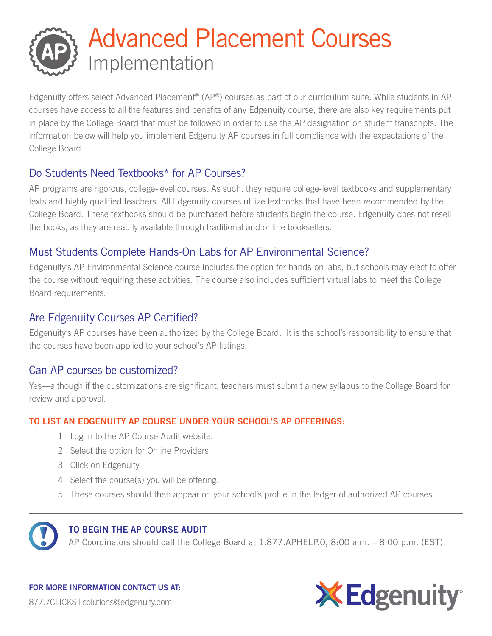# Advanced Placement Courses Implementation

Edgenuity offers select Advanced Placement<sup>®</sup> (AP®) courses as part of our curriculum suite. While students in AP courses have access to all the features and benefits of any Edgenuity course, there are also key requirements put in place by the College Board that must be followed in order to use the AP designation on student transcripts. The information below will help you implement Edgenuity AP courses in full compliance with the expectations of the College Board.

# Do Students Need Textbooks\* for AP Courses?

AP programs are rigorous, college-level courses. As such, they require college-level textbooks and supplementary texts and highly qualified teachers. All Edgenuity courses utilize textbooks that have been recommended by the College Board. These textbooks should be purchased before students begin the course. Edgenuity does not resell the books, as they are readily available through traditional and online booksellers.

# Must Students Complete Hands-On Labs for AP Environmental Science?

Edgenuity's AP Environmental Science course includes the option for hands-on labs, but schools may elect to offer the course without requiring these activities. The course also includes sufficient virtual labs to meet the College Board requirements.

### Are Edgenuity Courses AP Certified?

Edgenuity's AP courses have been authorized by the College Board. It is the school's responsibility to ensure that the courses have been applied to your school's AP listings.

#### Can AP courses be customized?

Yes—although if the customizations are significant, teachers must submit a new syllabus to the College Board for review and approval.

#### TO LIST AN EDGENUITY AP COURSE UNDER YOUR SCHOOL'S AP OFFERINGS:

- 1. Log in to the AP Course Audit website.
- 2. Select the option for Online Providers.
- 3. Click on Edgenuity.
- 4. Select the course(s) you will be offering.
- 5. These courses should then appear on your school's profile in the ledger of authorized AP courses.



#### TO BEGIN THE AP COURSE AUDIT

AP Coordinators should call the College Board at 1.877.APHELP.0, 8:00 a.m. – 8:00 p.m. (EST).

FOR MORE INFORMATION CONTACT US AT: 877.7CLICKS | solutions@edgenuity.com